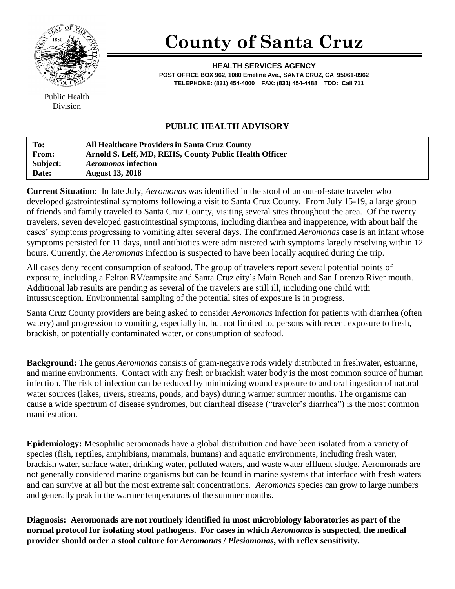

## **County of Santa Cruz**

**HEALTH SERVICES AGENCY POST OFFICE BOX 962, 1080 Emeline Ave., SANTA CRUZ, CA 95061-0962 TELEPHONE: (831) 454-4000 FAX: (831) 454-4488 TDD: Call 711**

Public Health Division

## **PUBLIC HEALTH ADVISORY**

| To:      | <b>All Healthcare Providers in Santa Cruz County</b>   |
|----------|--------------------------------------------------------|
| From:    | Arnold S. Leff, MD, REHS, County Public Health Officer |
| Subject: | <i>Aeromonas</i> infection                             |
| Date:    | <b>August 13, 2018</b>                                 |

**Current Situation**: In late July, *Aeromonas* was identified in the stool of an out-of-state traveler who developed gastrointestinal symptoms following a visit to Santa Cruz County. From July 15-19, a large group of friends and family traveled to Santa Cruz County, visiting several sites throughout the area. Of the twenty travelers, seven developed gastrointestinal symptoms, including diarrhea and inappetence, with about half the cases' symptoms progressing to vomiting after several days. The confirmed *Aeromonas* case is an infant whose symptoms persisted for 11 days, until antibiotics were administered with symptoms largely resolving within 12 hours. Currently, the *Aeromonas* infection is suspected to have been locally acquired during the trip.

All cases deny recent consumption of seafood. The group of travelers report several potential points of exposure, including a Felton RV/campsite and Santa Cruz city's Main Beach and San Lorenzo River mouth. Additional lab results are pending as several of the travelers are still ill, including one child with intussusception. Environmental sampling of the potential sites of exposure is in progress.

Santa Cruz County providers are being asked to consider *Aeromonas* infection for patients with diarrhea (often watery) and progression to vomiting, especially in, but not limited to, persons with recent exposure to fresh, brackish, or potentially contaminated water, or consumption of seafood.

**Background:** The genus *Aeromonas* consists of gram-negative rods widely distributed in freshwater, estuarine, and marine environments. Contact with any fresh or brackish water body is the most common source of human infection. The risk of infection can be reduced by minimizing wound exposure to and oral ingestion of natural water sources (lakes, rivers, streams, ponds, and bays) during warmer summer months. The organisms can cause a wide spectrum of disease syndromes, but diarrheal disease ("traveler's diarrhea") is the most common manifestation.

**Epidemiology:** Mesophilic aeromonads have a global distribution and have been isolated from a variety of species (fish, reptiles, amphibians, mammals, humans) and aquatic environments, including fresh water, brackish water, surface water, drinking water, polluted waters, and waste water effluent sludge. Aeromonads are not generally considered marine organisms but can be found in marine systems that interface with fresh waters and can survive at all but the most extreme salt concentrations. *Aeromonas* species can grow to large numbers and generally peak in the warmer temperatures of the summer months.

**Diagnosis: Aeromonads are not routinely identified in most microbiology laboratories as part of the normal protocol for isolating stool pathogens. For cases in which** *Aeromonas* **is suspected, the medical provider should order a stool culture for** *Aeromonas* **/** *Plesiomonas***, with reflex sensitivity.**